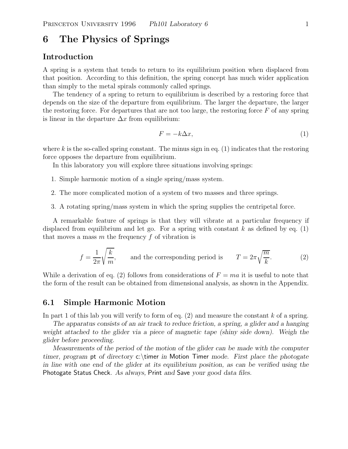# **6 The Physics of Springs**

# **Introduction**

A spring is a system that tends to return to its equilibrium position when displaced from that position. According to this definition, the spring concept has much wider application than simply to the metal spirals commonly called springs.

The tendency of a spring to return to equilibrium is described by a restoring force that depends on the size of the departure from equilibrium. The larger the departure, the larger the restoring force. For departures that are not too large, the restoring force  $F$  of any spring is linear in the departure  $\Delta x$  from equilibrium:

$$
F = -k\Delta x,\tag{1}
$$

where k is the so-called spring constant. The minus sign in eq.  $(1)$  indicates that the restoring force opposes the departure from equilibrium.

In this laboratory you will explore three situations involving springs:

- 1. Simple harmonic motion of a single spring/mass system.
- 2. The more complicated motion of a system of two masses and three springs.
- 3. A rotating spring/mass system in which the spring supplies the centripetal force.

A remarkable feature of springs is that they will vibrate at a particular frequency if displaced from equilibrium and let go. For a spring with constant k as defined by eq. (1) that moves a mass  $m$  the frequency  $f$  of vibration is

$$
f = \frac{1}{2\pi} \sqrt{\frac{k}{m}},
$$
 and the corresponding period is 
$$
T = 2\pi \sqrt{\frac{m}{k}}.
$$
 (2)

While a derivation of eq. (2) follows from considerations of  $F = ma$  it is useful to note that the form of the result can be obtained from dimensional analysis, as shown in the Appendix.

### **6.1 Simple Harmonic Motion**

In part 1 of this lab you will verify to form of eq.  $(2)$  and measure the constant k of a spring.

*The apparatus consists of an air track to reduce friction, a spring, a glider and a hanging weight attached to the glider via a piece of magnetic tape (shiny side down). Weigh the glider before proceeding.*

*Measurements of the period of the motion of the glider can be made with the computer timer, program* pt *of directory* c:\timer *in* Motion Timer *mode. First place the photogate in line with one end of the glider at its equilibrium position, as can be verified using the* Photogate Status Check*. As always,* Print *and* Save *your good data files.*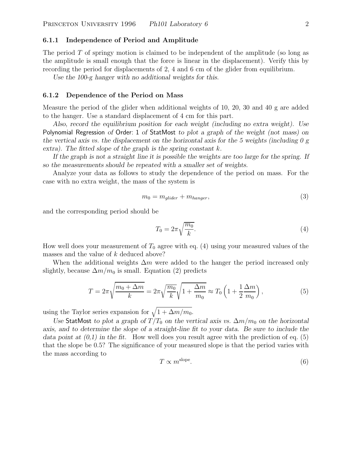#### **6.1.1 Independence of Period and Amplitude**

The period  $T$  of springy motion is claimed to be independent of the amplitude (so long as the amplitude is small enough that the force is linear in the displacement). Verify this by recording the period for displacements of 2, 4 and 6 cm of the glider from equilibrium.

*Use the 100-g hanger with no additional weights for this.*

#### **6.1.2 Dependence of the Period on Mass**

Measure the period of the glider when additional weights of 10, 20, 30 and 40 g are added to the hanger. Use a standard displacement of 4 cm for this part.

*Also, record the equilibrium position for each weight (including no extra weight). Use* Polynomial Regression *of* Order: 1 *of* StatMost *to plot a graph of the weight (not mass) on the vertical axis vs. the displacement on the horizontal axis for the 5 weights (including 0 g extra). The fitted slope of the graph is the spring constant* k*.*

*If the graph is not a straight line it is possible the weights are too large for the spring. If so the measurements should be repeated with a smaller set of weights.*

Analyze your data as follows to study the dependence of the period on mass. For the case with no extra weight, the mass of the system is

$$
m_0 = m_{glider} + m_{hanger},\tag{3}
$$

and the corresponding period should be

$$
T_0 = 2\pi \sqrt{\frac{m_0}{k}}.\tag{4}
$$

How well does your measurement of  $T_0$  agree with eq. (4) using your measured values of the masses and the value of k deduced above?

When the additional weights  $\Delta m$  were added to the hanger the period increased only slightly, because  $\Delta m/m_0$  is small. Equation (2) predicts

$$
T = 2\pi \sqrt{\frac{m_0 + \Delta m}{k}} = 2\pi \sqrt{\frac{m_0}{k}} \sqrt{1 + \frac{\Delta m}{m_0}} \approx T_0 \left( 1 + \frac{1}{2} \frac{\Delta m}{m_0} \right),\tag{5}
$$

using the Taylor series expansion for  $\sqrt{1+\Delta m/m_0}$ .

*Use* StatMost *to plot a graph of*  $T/T_0$  *on the vertical axis vs.*  $\Delta m/m_0$  *on the horizontal axis, and to determine the slope of a straight-line fit to your data. Be sure to include the data point at*  $(0,1)$  *in the fit.* How well does you result agree with the prediction of eq.  $(5)$ that the slope be 0.5? The significance of your measured slope is that the period varies with the mass according to

$$
T \propto m^{\text{slope}}.\tag{6}
$$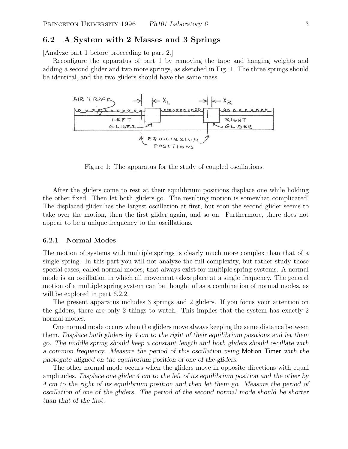## **6.2 A System with 2 Masses and 3 Springs**

[Analyze part 1 before proceeding to part 2.]

Reconfigure the apparatus of part 1 by removing the tape and hanging weights and adding a second glider and two more springs, as sketched in Fig. 1. The three springs should be identical, and the two gliders should have the same mass.



Figure 1: The apparatus for the study of coupled oscillations.

After the gliders come to rest at their equilibrium positions displace one while holding the other fixed. Then let both gliders go. The resulting motion is somewhat complicated! The displaced glider has the largest oscillation at first, but soon the second glider seems to take over the motion, then the first glider again, and so on. Furthermore, there does not appear to be a unique frequency to the oscillations.

#### **6.2.1 Normal Modes**

The motion of systems with multiple springs is clearly much more complex than that of a single spring. In this part you will not analyze the full complexity, but rather study those special cases, called normal modes, that always exist for multiple spring systems. A normal mode is an oscillation in which all movement takes place at a single frequency. The general motion of a multiple spring system can be thought of as a combination of normal modes, as will be explored in part  $6.2.2$ .

The present apparatus includes 3 springs and 2 gliders. If you focus your attention on the gliders, there are only 2 things to watch. This implies that the system has exactly 2 normal modes.

One normal mode occurs when the gliders move always keeping the same distance between them. *Displace both gliders by 4 cm to the right of their equilibrium positions and let them go. The middle spring should keep a constant length and both gliders should oscillate with a common frequency. Measure the period of this oscillation using* Motion Timer *with the photogate aligned on the equilibrium position of one of the gliders.*

The other normal mode occurs when the gliders move in opposite directions with equal amplitudes. *Displace one glider 4 cm to the left of its equilibrium position and the other by 4 cm to the right of its equilibrium position and then let them go. Measure the period of oscillation of one of the gliders. The period of the second normal mode should be shorter than that of the first.*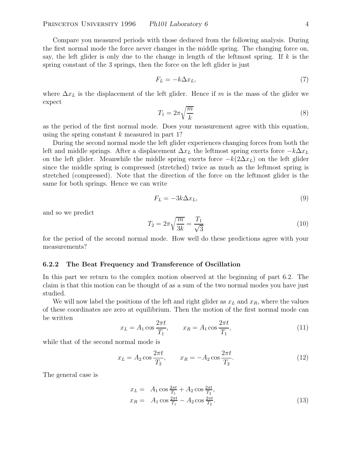Compare you measured periods with those deduced from the following analysis. During the first normal mode the force never changes in the middle spring. The changing force on, say, the left glider is only due to the change in length of the leftmost spring. If k is the spring constant of the 3 springs, then the force on the left glider is just

$$
F_L = -k\Delta x_L,\tag{7}
$$

where  $\Delta x_L$  is the displacement of the left glider. Hence if m is the mass of the glider we expect

$$
T_1 = 2\pi \sqrt{\frac{m}{k}}\tag{8}
$$

as the period of the first normal mode. Does your measurement agree with this equation, using the spring constant  $k$  measured in part 1?

During the second normal mode the left glider experiences changing forces from both the left and middle springs. After a displacement  $\Delta x_L$  the leftmost spring exerts force  $-k\Delta x_L$ on the left glider. Meanwhile the middle spring exerts force  $-k(2\Delta x_L)$  on the left glider since the middle spring is compressed (stretched) twice as much as the leftmost spring is stretched (compressed). Note that the direction of the force on the leftmost glider is the same for both springs. Hence we can write

$$
F_L = -3k\Delta x_L,\tag{9}
$$

and so we predict

$$
T_2 = 2\pi \sqrt{\frac{m}{3k}} = \frac{T_1}{\sqrt{3}}
$$
\n(10)

for the period of the second normal mode. How well do these predictions agree with your measurements?

#### **6.2.2 The Beat Frequency and Transference of Oscillation**

In this part we return to the complex motion observed at the beginning of part 6.2. The claim is that this motion can be thought of as a sum of the two normal modes you have just studied.

We will now label the positions of the left and right glider as  $x_L$  and  $x_R$ , where the values of these coordinates are zero at equilibrium. Then the motion of the first normal mode can be written

$$
x_L = A_1 \cos \frac{2\pi t}{T_1}, \qquad x_R = A_1 \cos \frac{2\pi t}{T_1}, \tag{11}
$$

while that of the second normal mode is

$$
x_L = A_2 \cos \frac{2\pi t}{T_2}, \qquad x_R = -A_2 \cos \frac{2\pi t}{T_2}.
$$
 (12)

The general case is

$$
x_L = A_1 \cos \frac{2\pi t}{T_1} + A_2 \cos \frac{2\pi t}{T_2},
$$
  
\n
$$
x_R = A_1 \cos \frac{2\pi t}{T_1} - A_2 \cos \frac{2\pi t}{T_2}.
$$
\n(13)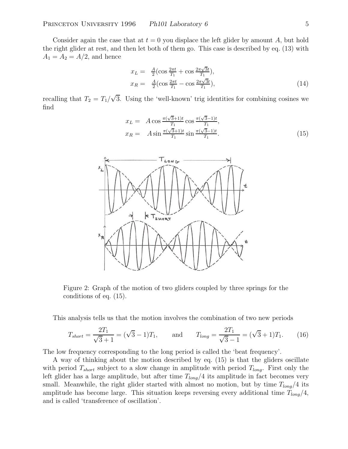Consider again the case that at  $t = 0$  you displace the left glider by amount A, but hold the right glider at rest, and then let both of them go. This case is described by eq. (13) with  $A_1 = A_2 = A/2$ , and hence

$$
x_L = \frac{A}{2} \left( \cos \frac{2\pi t}{T_1} + \cos \frac{2\pi \sqrt{3}t}{T_1} \right),
$$
  
\n
$$
x_R = \frac{A}{2} \left( \cos \frac{2\pi t}{T_1} - \cos \frac{2\pi \sqrt{3}t}{T_1} \right),
$$
\n(14)

recalling that  $T_2 = T_1/\sqrt{3}$ . Using the 'well-known' trig identities for combining cosines we find

$$
x_L = A \cos \frac{\pi(\sqrt{3}+1)t}{T_1} \cos \frac{\pi(\sqrt{3}-1)t}{T_1},
$$
  
\n
$$
x_R = A \sin \frac{\pi(\sqrt{3}+1)t}{T_1} \sin \frac{\pi(\sqrt{3}-1)t}{T_1}.
$$
\n(15)



Figure 2: Graph of the motion of two gliders coupled by three springs for the conditions of eq. (15).

This analysis tells us that the motion involves the combination of two new periods

$$
T_{short} = \frac{2T_1}{\sqrt{3} + 1} = (\sqrt{3} - 1)T_1, \quad \text{and} \quad T_{long} = \frac{2T_1}{\sqrt{3} - 1} = (\sqrt{3} + 1)T_1. \tag{16}
$$

The low frequency corresponding to the long period is called the 'beat frequency'.

A way of thinking about the motion described by eq. (15) is that the gliders oscillate with period  $T_{short}$  subject to a slow change in amplitude with period  $T_{long}$ . First only the left glider has a large amplitude, but after time  $T_{long}/4$  its amplitude in fact becomes very small. Meanwhile, the right glider started with almost no motion, but by time  $T_{long}/4$  its amplitude has become large. This situation keeps reversing every additional time  $T_{long}/4$ , and is called 'transference of oscillation'.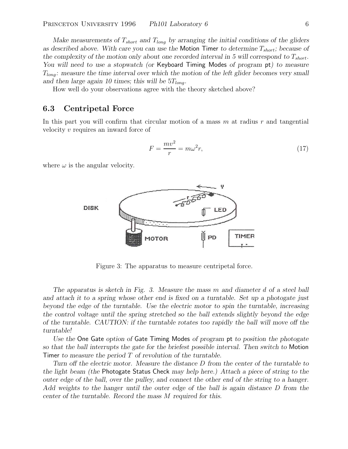*Make measurements of*  $T_{short}$  *and*  $T_{long}$  *by arranging the initial conditions of the gliders as described above. With care you can use the* Motion Timer *to determine*  $T_{short}$ ; *because of* the complexity of the motion only about one recorded interval in 5 will correspond to  $T_{short}$ . *You will need to use a stopwatch (or* Keyboard Timing Modes *of program* pt*) to measure* Tlong*: measure the time interval over which the motion of the left glider becomes very small* and then large again 10 times; this will be  $5T_{long}$ .

How well do your observations agree with the theory sketched above?

## **6.3 Centripetal Force**

In this part you will confirm that circular motion of a mass  $m$  at radius  $r$  and tangential velocity v requires an inward force of

$$
F = \frac{mv^2}{r} = m\omega^2 r,\tag{17}
$$

where  $\omega$  is the angular velocity.



Figure 3: The apparatus to measure centripetal force.

*The apparatus is sketch in Fig. 3. Measure the mass* m *and diameter* d *of a steel ball and attach it to a spring whose other end is fixed on a turntable. Set up a photogate just beyond the edge of the turntable. Use the electric motor to spin the turntable, increasing the control voltage until the spring stretched so the ball extends slightly beyond the edge of the turntable. CAUTION: if the turntable rotates too rapidly the ball will move off the turntable!*

*Use the* One Gate *option of* Gate Timing Modes *of program* pt *to position the photogate so that the ball interrupts the gate for the briefest possible interval. Then switch to* Motion Timer *to measure the period* T *of revolution of the turntable.*

*Turn off the electric motor. Measure the distance* D *from the center of the turntable to the light beam (the* Photogate Status Check *may help here.) Attach a piece of string to the outer edge of the ball, over the pulley, and connect the other end of the string to a hanger. Add weights to the hanger until the outer edge of the ball is again distance* D *from the center of the turntable. Record the mass* M *required for this.*